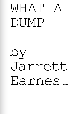## WHAT DUMP

by Jarrett Earnest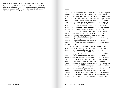*Perhaps I have loved the shadows that lay hidden behind his radiant forehead and his shining glance. Can you distinguish between loving roses and loving the scent of roses?* —Yukio Mishima, *Madame de Sade*1

 I In his first session at Black Mountain College's summer art institute in 1945, seventeen-yearold Ray Johnson studied with legendary designer Alvin Lustig, who revolutionized book publisher New Directions' aesthetic in the 1940s.<sup>2</sup> That year, Lustig was in the process of creating a cover for Louise Varèse's translation of Arthur Rimbaud's *Illuminations*. The name "rimbaud" sits at the center, the source of an explosion of nested, jagged star shapes, redolent of Clyfford Still, in cream, yellow, and crimson, pulsing against a blood-red ground, while scratched along the bottom "ILLUMINATIONS" tingles like electricity. The cover, among others by Lustig, channeled the full force of abstract expressionism to convey the quasimystical charge of its contents: a sacred book of modernism.

After moving to New York in 1949, Johnson did commercial design work, including a few jobs for New Directions. In 1956, he was tasked with redesigning *Illuminations* for an expanded paperback edition, published in 1957. The aesthetic decisions of Johnson's cover have become so deeply absorbed into our visual culture as to now appear all but fated, presaging a new sensibility that would become "pop." Johnson's cover features a tight crop of Étienne Carjat's 1871 portrait of Rimbaud when he was a seventeen-year-old from the provinces, terrorizing Paris's poetry scene. Johnson upped the contrasts of the black-and-white image, enlarging the halftone screen to emphasize the inherent qualities of photomechanical translation. The effect is spectral, masklike,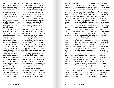as though the image of the poet is and isn't there, a face seen on the surface of Mars. The closer the eye gets to the printed surface the more the features recede, dissolving into a mist of coagulated dots. The title and author's name are blocked out in thick, ribbony script at a bias, alternating between black and white mid-word, to contrast with the shifting background. "R. Johnson" is hand-lettered in the upper right corner, a hieroglyph as much as a signature. Johnson's design was the first to utilize Rimbaud's image in this way, fusing the poet's portrait into the public imagination as an icon.

Within the rising counterculture of the 1960s, this edition became ubiquitous. Its cover foregrounded the teenage cipher of outsiderness, characteristic of the young French poet, who, as one of his biographers put it, "has been treated by four generations of avant-gardes as an emergency exit from the house of convention."3 In ways that are demonstrable but incalculable, Johnson's cover contributed to this proliferating influence. Sixteen-year-old Patti Smith is merely the most famous of innumerable teenagers who knew nothing of the poet but grabbed the book because of Rimbaud's "haughty gaze," which in her case peered out from "a bookstall across from the bus depot in Philadelphia."4 It was on this visual evidence alone that she stole the book that changed her life. She would have likely passed over Lustig's elegant starburst if it were the edition on the stand that day. Smith described the effect of the book on her: "His hands had chiseled a manual of heaven and I held them fast. The knowledge of him added swagger to my step and this could not be stripped away. I tossed my copy of *Illuminations* in a plaid suitcase. We would

escape together."<sup>5</sup> In 1967, when Smith moved to New York to become an artist, that copy of Rimbaud's *Illuminations* came with her, its worn cover tacked over her writing desk for years.

Ray Johnson was already making collages saturated with popular imagery, blurring high and low, with a special fixation on movie stars, long before the attitudes that became pop art cohered into anything recognizable as a movement. In the mid-1950s, he was appropriating pictures of Elvis Presley and James Dean from advertisements to make cryptic collages pasted with logos from Lucky Strike brand cigarettes. Around the time Johnson was designing *Illuminations*, one collage pairs an identically sized photograph of the recently martyred "rebel without a cause" James Dean with the original Carjat portrait of Rimbaud, pasted vertically on a blackened board. The Dean headshot (top) is heavily striped with translucent hot-pink ink, almost entirely covering the image, while Rimbaud (bottom) has the pink bands only over his eyes, nose, and mouth. The collage identifies an unmistakable affinity: two artists with passionate intensity and aberrant sexualities, hostile to the mores of their time. Johnson equates Dean's violent death at twenty-four from a speeding sports car crash with the force of Rimbaud's renunciation of poetry at the age of twenty. The visual logic suggests transposing the features from one onto the other, blurring them together, while retaining a vague distinction between the actor, known for playing characters, and the poet who once proclaimed that "every being seemed to me to be entitled to several *other*  lives."6 The hot pink underscores their twinned roles as queer icons — a fantasy couple whose images evolved into potent sites of identification for gay men as that subculture began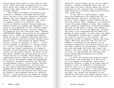taking shape. What might at first seem an arbitrary, even capricious juxtaposition of a poet and a movie star takes on the clarity of a formula when seen within the larger mathematics of queer desire.

This image of Rimbaud continued to proliferate in Johnson's collages and mailings until the end of his life, becoming a personal emblem. And like Rimbaud's poetry, the structures of Johnson's work undermine any single or coherent sense of an internal "self," inverting identity outward through seemingly endless chains of slippage and dispersal. In an issue of *Arts Magazine* in 1971, Johnson reproduced the Rimbaud portrait, filling a page of the magazine with the life-sized face. "FOLLOW INSTRUCTIONS BELOW" was printed on the opposite page, with a number of corresponding options acted out by his trademark wide-eyed "bunnies" for how Rimbaud could be altered. "Detach along dotted line ... participate by adding words, letters, colors or whatever to face ... & mail to Ray Johnson, 44 Seventh St., Locust Valley, N.Y. 11560" (his home address). In 1971, this was only the latest incarnation of Johnson's interest in participatory art making and circulation via the postal service. As early as the mid-1940s, Johnson was mailing heavily illustrated letters to friends, which became a fully elaborated artistic mode by the mid-1950s. In 1962, artist Ed Plunkett named the phenomenon of Johnson's eccentric mailings the "New York Correspondence School," which Johnson shifted to spell as "Correspondance," crystallized by the iconic direction stamped on each parcel: "PLEASE ADD TO AND RETURN TO RAY JOHNSON." The playfully shifting network was visualized by Johnson's ever-updated series of "seating charts" — grids detailing the names of various artist friends and celebrities, beneath almost

identical cartoon faces. By way of his robust network, a swarm of Rimbauds were soon set loose upon the world, moving among the various audiences of the international art magazine, some returning to Johnson glamorized or brutalized, often both.

In the case of a photographic image, there are essentially two operations for its transformation. The first is additive: ink, glitter, other images, sundry *stuff* can be put onto the picture like a cosmetic, an invitation to put the young Rimbaud in drag. Many respondents gleefully understood, returning burlesque versions of the poet's visage. The second is deconstructive: to cut the image up, allowing the parts to be rearranged and collaged with pieces of other images. In each case, the effect of "defacement" brings both a joyous freedom and lurking violence to the subject, one perfectly suited to Rimbaud's poetry and biography. When Paul Verlaine left his wife for Rimbaud — according to the account of one Constable Lombard of the Brussels police, who had been tracking the young poets — Verlaine not only exclaimed "We love each other like tigers!" but also "bared his chest in front of his wife. It was bruised and tattooed with knife wounds administered by his friend Raimbaud [*sic*]."7

In 1978, the twenty-four-year-old David Wojnarowicz took advantage of a short stint at an ad agency in Manhattan, using their photostat machine to make an enlarged copy of Johnson's cover of Rimbaud's *Illuminations*, which he then cut out and burned eyeholes with a cigarette to create a life-sized mask.<sup>8</sup> Wojnarowicz felt a profound connection with the poet, who turned the extremity of his alienation and hostility toward society into a poetics that fused sacred with profane. Like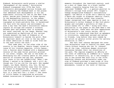Rimbaud, Wojnarowicz would pursue a similar "derangement of the senses." Envisioning Rimbaud transposed into 1970s New York, Wojnarowicz photographed various friends and lovers wearing the Rimbaud mask in the places that embodied such derangements in his own experience: cruising for sex on the West Side piers, beside porn theaters in Times Square, in the Meatpacking District, on the subway. When the black-and-white Rimbaud mask was photographed on black-and-white film, it harmonized the face with the wearer and environment in such a way that the mask's dislocation remains legible as collage and creates a crosscut between past and present that is arrested, but never resolved, by the image. Whether they are understood as depictions of his various friends beneath the mask of Rimbaud or of Wojnarowicz himself is beside the point. What is important above all else is the way each of these identities is made to slide from one to the next within the work.<sup>9</sup>

That same year, on the other side of the country in Los Angeles, Dennis Cooper turned an issue of his literary magazine, *Little Caesar*, into a fanzine about Rimbaud with a degenerated version of the same Carjat portrait printed on its cover. Cooper, who was in the midst of developing his own literary genre at the intersection of violence and gay sex, prefaced this issue in his own handwriting: "When I was fifteen I wanted to be Rimbaud, and I still do, though now I'm too old for the part. Who needed Jagger, Lou Reed, Hendrix, bla, bla. He had everything and was farther away than the stars. No chance to disappoint me. I wanted to look like him and made a pathetic attempt — short hair in a long hair era  $-$  a fool."<sup>10</sup> The issue of *Little Caesar* is populated by pictures dubbed incarnations of Rimbaud at particular

moments throughout the twentieth century, such as a shot of James Dean in a black leather jacket, cigarette hanging from his lips, captioned "RIMBAUD '55" — a gesture parallel to Johnson's collage from around 1957. Cooper's homage encapsulated Rimbaud's contradictory appeal: the desire to elide one's identity with a figure who sought to disperse identity itself, to be multitudinous rather than singular. Cooper recognized that same impulse at work in Wojnarowicz's *Arthur Rimbaud in New York* photographs and included a portfolio of them in *Little Caesar*  $#11$  in 1980.<sup>11</sup> Along with their publication in the pages of the *SoHo News* a few months earlier, these were the first appearances of Wojnarowicz's now iconic series, and it is critical to understand them first as ephemera in circulation, sometimes xeroxed and mailed to friends, long before they were remade by the artist as gelatin silver prints for gallery exhibition in  $1990.^{12}$ 

The fact that Johnson designed the cover that Wojnarowicz used to fashion his mask, most likely without knowing who the "R. Johnson" was at the time, indicates deeper structural resonances between their two evocations of the poet. The impulse suggests an affinity at the level of something as ineffable as a "queer aesthetic" or sensibility, as it was transpiring in and around New York City in the 1970s. Examining Johnson and Wojnarowicz under the sign of Rimbaud provides a case study of this precisely locatable and intangible historical phenomenon, traced at the level of feeling.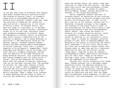## II **II**<br>In the May 1968 issue of *Artforum*, Ray Johnson

read about Michael Morris's painting called *The Problem of Nothing* (1966), an enigmatic image built of hard-edged abstraction. The curator Alvin Balkind, himself a gay man, used the painting to summarize the twenty-sixyear-old artist's sensibility in his review of Morris's work: "To Michael Morris, the best art today is a put-down; it is deliberately subversive, utterly useless, consciously caught up in its own time, seriously intent upon producing monuments to nothing. Among his monuments to nothing, Morris is producing many which contain a theatrical bow to the thirties in general, and to Busby Berkeley in particular."13 The description stood out for several reasons, foremost because Johnson himself had been staging public performances he called "nothings" since 1961, a playful negation of Allan Kaprow's "happenings," which coalesced that decade's social attitudes into form. Morris's slippery antagonism, paired with his devotion to the camp fantasias of Busby Berkeley musicals, also signaled kinship and Johnson promptly sent the young artist a letter, care of the Vancouver Art Gallery, which owns *The Problem of Nothing*, explaining that he too had been involved with "the problem of nothing" for some time; Johnson invited him to be in touch.<sup>14</sup> Morris happened to be visiting New York shortly thereafter, phoned Johnson as directed, and they met at a bar. Morris recalled: "When I spoke of my interest in Busby Berkeley and the sense of style in thirties film production, he mentioned that I

might see Michael Malce, who owned a shop specializing in items from that period — the shop where Tony Curtis had once purchased a Mickey Mouse watch strap.... We talked of London, Shirley Temple, Canada, and Ray mentioned his interest in the Dionne Quintuplets."15

Morris suggested Johnson take part in *Concrete Poetry*, an exhibition he was curating at the University of British Columbia Fine Arts Gallery the following year, in 1969. On his first trip out of the country, Johnson went to Vancouver, bringing collages in his luggage and crashing on the young artist's couch. In the catalogue for the show, Morris wrote a text explaining Johnson's New York Correspondance School (NYCS): "Ray allows the School to function as a highly sensitive monitor, quick to recognize in others the concerns that relate in some way to its instigator's intentions. There is always an intensely selective process at work, both in choosing members and deciding on the nature of activities the school shall undertake."16 On this visit, Morris and his lover and collaborator Vincent Trasov told Johnson about an idea they had for a Vancouverbased hub for mail art activities, called "Image Bank," inspired in part by Johnson's Correspondance school. When Morris and Trasov sent out their first "Image of the Month" mailings a year later, Johnson supplied them with the addresses of his network.

Through this initial connection with Image Bank, Johnson entered into a decidedly queer subculture within the emerging Canadian art scene. Then in his forties and twice the age of most of these new associates, Johnson became a kind of mascot who had initiated an exploration of subculture and self that the Image Bank collaborators would elaborate in their own directions. Call-and-response, with directions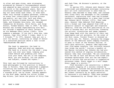to alter and pass along, were strategies pioneered by Johnson's Correspondance school and adapted by many artists' networks around the world in the subsequent years. Mail art structured exchanges between those who may or may not have known each other, or knew each other only through slippery personae, creating an arena that intentionally blurred private and public, art and life, self and other. Morris's Toronto friends Michael Tims, Ronald Gabe, and Slobodan Saia-Levy, who renamed themselves AA Bronson, Felix Partz, and Jorge Zontal, formed General Idea in  $1969.^{17}$  By then, Bronson was already experimenting with mail art through a sequence of chain letters, such as his *Massage Chain Letter* (1969): "Give someone a massage. If you don't know how, take lessons. Copy this letter 5 times. Send it to 5 friends."18 In 1970, General Idea put out a call via mailer, containing an image of Zontal in a contorted position above a text titled "MANIPULATING THE SELF":

> The head is separate; the hand is separate. Body and mind are separate. The hand is a mirror for the mind - wrap your arm over your head, lodging your elbow behind and grabbing your chin with your hand. The act is now complete. Held, you are holding. You are object and subject, viewed and voyeur. $19$

This text was followed by instructions to send photographs in this position to General Idea in Toronto. They then published a pamphlet collecting one hundred and twelve of the responses, the photos reproduced as squares in a stacked grid, two by three. Johnson appears on the first page, beside his artist friend May Wilson, just below the photos of Kitty Tims

and Jack Tims, AA Bronson's parents, at the very top.

In spring 1972, Johnson sent General Idea sixty-eight pre-addressed envelopes containing mail art with instructions to send them on. General Idea decided to keep them, and instead sent along their own messages to the intended recipients, explaining that they had hijacked Johnson's correspondence in a move they titled *Ray Johnson Split Project* (1972). That same year, General Idea debuted *FILE Megazine*, with a format and logo adapted from *LIFE* as a parasitic assault on copyright and corporate identity. *FILE* was the first publication of its kind to harness mail art activities, blending the artists' directories and image requests from Image Bank with the results of their own experiments and art projects. On the cover of the first issue, Vincent Trasov is dressed as his alter ego, Mr. Peanut, usurping the snappy mascot of the American snack company Planters, to pose in front of the Toronto skyline. In their first editorial, General Idea explained that *FILE* makes tangible "the invisible network that binds the world," listing a handful of key figures including Ray Johnson who had pioneered this method of ongoing collaboration. General Idea then concluded: "We are concerned with the web of fact and fiction that binds and releases mythologies that are the sum experience of artists and non-artists in cooperative existence today. Every image is a self image. Every image is a mirror."20

*FILE* heralded a new sensibility: a defiant and playful mapping of a society created by collaboration, outside the mainstream art world of galleries and museums. The provocation was met almost instantly by an angry editorial in Vancouver's alt-weekly: "They have paraded their homosexuality as though that in itself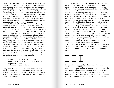gave the mag some bizarre status within the enigma of the alternative society. Instead the problems of homosexuality as an actual way of life recede into the pageantry of camp parody."21 The condemnation accurately, if unwittingly, pinpointed the stakes of General Idea's play with gay representation, attempting to undermine and complicate an identity that was swiftly becoming all too legible, seeing the rising politics of respectability as an inescapably conservative force.

Dubbed their "Daddy Dada," Johnson, whose pictures, drawings, and letters bounced through early issues of *FILE*, was a premade cult figure for General Idea's unfolding case study of micro-celebrity and artistic persona. Johnson was one of those called during General Idea's radio-based performance piece *Club Canasta — FILE's Filathon Telephone Canasta Party*, recorded at the CBC in 1972. After giddily ringing him at Max's Kansas City, clubhouse for New York's art world, to no avail, General Idea reached his friend May Wilson at home, who laughingly strips out of her nightgown upon their request and informs them Johnson is at a dinner party. Finally, Bronson and the gang get Johnson on the phone, giving him updates on the other calls, catching up on gossip and playing coy games:

> Bronson: What are you wearing? Johnson: I am wearing a paintbrush. Bronson: Where? Johnson: Where — In my ear.

They ask Johnson to come see them in Toronto: "We've been telling everyone that you're already here visiting us." Before getting off the phone, Johnson promises to send them his "Rimbaud postcards."

Daisy chains of self-reference provided an organizational force and means of propulsion for *FILE*'s form and content. The cover of the second issue, published May/June 1972, shows artist Marsha Carr, a respondent to their earlier "Manipulating the Self" mailer, a double-jointed contortionist wrapping her arms behind her so that her hands clasp improbably beneath her chin. She smiles placidly, large doe eyes slightly out of focus. The first page of the following issue in December 1972 features a full-page photograph of Johnson holding the May/June issue. The woman's face on the cover is cut out with Johnson smiling through the hole, hands gripping the sides of the magazine: "HERE'S RAY JOHNSON LOOKING THROUGH THE LAST ISSUE OF FILE. "<sup>22</sup> The following issue opens with the photo of Johnson, only this time a tongue protrudes from a cut-out in the image of Ray's face and the caption: "HERE'S AA BRONSON LICKING THROUGH THE LAST ISSUE OF FILE."23 This mise en abyme literalizes *FILE*'s editorial promise; by courting the intentional fluidity of persona, "every image is a self image," and every self is someone else too.

### III

To mark his graduation from the University of Georgia in 1972, twenty-two-year-old Jimmy DeSana self-published a boxed portfolio called *101 Nudes*, comprising staged photographs of his friends striking incongruous poses in suburban interiors. After coming across issues of *FILE*, DeSana sent a copy of *101 Nudes* to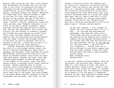General Idea, entering into their rich network. When AA Bronson visited New York for the first time in the 1970s, he connected with many of the people he had corresponded and collaborated with but up until then had never met in person, including Johnson and DeSana. Embracing his Daddy Dada role, Johnson planned a night on the town for their first meeting, introducing the two younger gay men to New York's thriving leather bars and outdoor cruising sites. Johnson's letters, especially those with other gay men, make frequent reference to his trips to the Anvil, Spike, Mineshaft, Eagle, and other places that specialized in leather, S-M, fisting, and watersports. Bill Wilson, May Wilson's son and another of Johnson's younger gay friends who would become his chief chronicler, once recalled Johnson stealing his bathtub that was decorated with painted flowers from his home; Johnson then brought Wilson to the Anvil to see his personal tub now on display in the bar, a young man sitting in it, being pissed on by the other patrons. $24$ 

Bronson describes that first meeting in New York as a tailor-made Johnson event, one of his "nothing" performances, equal parts pedagogy and pleasure. After midnight the three met downtown and started the trek up to the Spike on Eleventh Avenue; taxis would not dare take them there, Johnson told them. Once they reached Eighth Avenue, he advised they walk in the middle of the street, away from where anyone hiding in doorways could launch surprise attacks. Johnson remained wary of street violence after being mugged at knifepoint in 1968, which occasioned his move from Manhattan to the Long Island hamlet of Locust Valley. After some time at the Spike, the three headed to the Eagle where they met everyone's favorite leatherman and bartender, John Dowd, who had

become a celebrity within the Canadian mail art scene via a typically circuitous chain of events. John Jack Baylin had started the "Bum Bank" as a spinoff of Image Bank, dedicated to the collection and distribution of ass pics, which spawned the "John Dowd Fanny Club" once Johnson introduced Dowd to a group from Image Bank when they all came to New York in 1972. In a letter beneath two cartoon bunny heads labeled "Frank Stella" and "Barbara Rose" — New York's reigning heterosexual artist-critic power couple — Johnson assured Baylin:

> As per your request, I will attempt to obtain for you a genuine photo of J.D.'s bum.... At the Anna May Wong Meeting yesterday, John Dowd was there with a little baby Dowd and at one point after the Meeting he was bending over talking to someone and the exposed backside above his trouser belt was seen and had hairs on the said backside. We will go all the way for the cover photo. I am sure J.D. will cooperate.... Please trust me to follow through on your photo request and pray and light candles I push the right buttons when John Dowd is pants-lowered saying cheese. Most sincerely yours, Barbara Rose25

In the end, Johnson enlisted DeSana's help for the photos. The pictures show Johnson at the edge of a room looking at Dowd, who faces a window wearing a black T-shirt, hands on hips and cutoff shorts around his knees. In another, Dowd smiles widely over his shoulder at DeSana as he bends to lift his pants. A commercial designer by day, Dowd eventually toured Canada participating in "bum signings," appearing at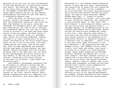meetings of his fan club. He also collaborated on the high-design mail art publication *Fanzini* with Baylin. The resulting "official" image of the Fanny Club is captioned: "JOHN DOWD SHOT BY JIM DESANA IN THE ROLE OF RAY JOHNSON" — Jimmy DeSana playing the part of Ray Johnson photographing John Dowd for John Jack Baylin, as promised by Barbara Rose.

After the bars, in the early hours of the morning, Johnson led Bronson and DeSana toward the dilapidated industrial zone along the West Side Highway to the piers, where men converged for anonymous public sex. Daddy Dada gave them advice, not only on how to navigate the treacherous debris, but also how to safely cruise by sticking to the more populated areas; violent crime was common, and more likely if they were to be caught alone in a secluded area. Before the cruising commenced, Johnson led them to an ideal viewing point to see a recent intervention by the artist Gordon Matta-Clark cut out of one of the piers, the holes framed against the larger void of the night sky. Then, as dawn approached and everyone had had some space to have whatever sex they wanted, Johnson reconvened with his friends, bringing them to the open area over the water. He had choreographed the entire evening for this moment, to see the sun rising over the skyline, illuminating the murals painted on the walls of the piers — urban decay and glittering water.

Soon DeSana's photographs permeated *FILE* as thoroughly as Johnson's letters had and often appeared with them in tandem. A special 1976 issue of the magazine, featuring a photo of "FILE NYC" spelled out in studs on black leather on the cover, details General Idea's gossipy misadventures during a temporary relocation to Manhattan. This issue opens with a

photograph of a lean DeSana wedged diagonally across a narrow New York foyer, cantilevered over messy piles of books with one forearm flat on the wall, the other curling a dumbbell up to his shoulder. Shirtless, donning aviators and billowing wide-leg bell bottoms and black socks, the caption below announces "DESANA UPTOWN opens sept. 1," though no further gallery information is listed — you'd just have to *know*. Following "Ripoff Red, Girl Detective," a story by Kathy Acker, is "New York's Ten Best Dressed," a photo-essay by DeSana, picturing New York artists and dealers across a two-page spread. $26$  An accompanying text by the Canadian performance artist Dawn Eagle characterizes the more-or-less nondescript outfits of the list: "[The subjects] have chosen to slip away from this form of promotion without even taking recourse to the safeguard of an exquisitely esoteric or expensive accessory ... a restraint that is admirable ... which is not to say that total image cultivation is not also admirable. $127$  The captions drive home the deadpan satire: "RAY JOHNSON (Artist) wears t-shirt, Levi jeans and jacket, work boots" he stares as if frozen in a three-quarters profile, denim jacket draped off one shoulder, holding a headless and armless doll in his hand. DeSana's "Ten Best Dressed" portrait of Johnson had a long afterlife; Johnson cut his face out of one print and created countless copies. DeSana's image of Johnson then rolled through many subsequent collages and mailings, nestled within untold visual configurations throughout the rest of his life.

Dressed in simplified butch drag, Johnson's "Ten Best" outfit belies his later play with clothing as part of his ongoing performance. For example, Johnson painted his black leather jacket with multiple neon-pink Mickey Mouse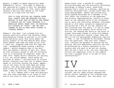figures, a symbol of macho masculinity made flamboyantly "girly." This game of dress-up was captured by a piece of mail art designed by Robin Lee Crutchfield in 1976, which shows Johnson's smiling face pasted on the crude outlines of a body with the text:

> THIS IS YOUR OFFICIAL RAY JOHNSON PAPER DOLL. CREATE YOUR OWN WARDROBE FOR HIM, KEEPING IN MIND THAT HE SEES NO NEW TRENDS IN FASHION AND HIS IDEAL WARDROBE IS A MONGOLIAN GERBIL NAMED CHIN. HE DESCRIBES HIS CLOTHING AS "LUCKY," AND THE ONLY COMMENT HE HAS TO MAKE ABOUT CLOTHES IS "CHARLES MANSON."

DeSana's "Ten Best" list aligned with his growing centrality within the downtown scene, photographing friends at parties in his rough black-and-white style that would define the gritty glamour of the New Wave/No Wave scene. Often DeSana came home and made prints from a night out, stamping them with his name and logo — disembodied hands holding a flashing camera — before dropping them in the mail. This was DeSana's version of mail art, which he took seriously enough to add the following line to a chronology he compiled, under the year 1975: "Opens world's smallest art gallery, a P.O. box called DeSana, which sends out mailings as shows."28 His portraits of culture heroes, everyone from Yoko Ono to Debbie Harry, began to circulate outside the scene, appearing on the front of the *SoHo News* and album covers, like *More Songs About Buildings and Food* (1978) by Talking Heads and *Exterminating Angel* (1980) by Dark Day, Crutchfield's band.

In 1973, DeSana took a nude self-portrait that was later published in an issue of *FILE* and on the cover of *VILE*, the San Francisco–

based sister zine, a parody of a parody. William Burroughs saw the erotically disturbing photograph of DeSana's pale, naked body hanging from a noose in a doorway, sporting an erection. Burroughs had a friend track down the young photographer. DeSana had started seriously reading Burroughs as a teenager in the late 1960s; the intensity of the queerness and artistic experimentation, hostile to every facet of the suburban world of his childhood, was an early and continuing influence. Burroughs wanted to talk about autoerotic asphyxiation and pulled out a file of his own research he had collected over the years.<sup>29</sup> It was an image that recurred with graphic force across his writing, the hanging man dying at the point of orgasm. Burroughs stayed in touch with DeSana, who took his portrait several times. When the book of his S-M photographs *Submission* came out in 1980, it was introduced by Burroughs, ending with the questions: "The very word 'submission' contains the paradox of wanting and not wanting. And this ambivalent position can only be maintained by a double ignorance of not knowing what you want to do and not knowing what you don't want to do. Can this ignorance survive the impersonal click of the camera? Can such a paradox exist in an age of total confrontation?"30

# Burroughs was the black sun of the counter-

culture, and his ideas around language and social control radiated at the intersections of violence, queerness, sex, and death. His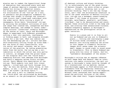mission was to combat the hypocritical forms of domination that saturated every word and image of postwar America's consumer culture. Beyond his string of influential novels, his single most important contribution was his articulation of the "cut-up" as a tool, an aesthetic and philosophical framework for collage that sought to disrupt the internalized circuit that linked each individual with the wider world. While cutting a stack of newspapers, Brion Gysin "discovered" cut-ups by noticing the accidental collisions of word and image that created new, unexpected and more complex meanings, and seemed to reveal underlying cultural "intentions" normally disguised by the syntax of logic. Gysin and Burroughs began to experiment with different procedures, cutting a text into quarters, rearranging or folding pages in half, and retyping straight across for a new text. What was radical was not the methodology per se — artists had been self-consciously cutting things up since Dada but the force of their theorization, with its social and sexual valences, was an innovation of the practice. By taking preexisting texts from the world, the cut-up was a collaboration in which the artist was only partly in control, an escapee from the prison house of the singular self into the "third mind," something distinct that emerged from Burroughs and Gysin's separate selves within collaboration. Gysin offered this description of the cut-up: "Word symbols turn back into visual symbols — tilted back and forth through this 'me,' my very own machine. Every thing, at that moment, is one. I am the artist when I am open. When I am closed I am Brion Gysin. $1^{31}$ 

Not only a call to liberate writing, the "third mind" was articulated by Burroughs as an assault on the philosophical foundations of dominant culture and binary thinking: "It is unfortunately one of the great errors of Western thought, the whole either-or proposition.... Either-or thinking just is not accurate thinking. That's not the way things occur, and I feel the Aristotelian construct is one of the great shackles of Western civilization. Cut-ups are a movement toward breaking this down." $32$  All forms of division - gay/ straight, male/female, good/evil, self/other, live/dead — had to be deconstructed and reconfigured; these structures lived in the body and mind, and altering them necessitated violence. Rimbaud frequently appears in Burroughs's explanations as the prototypical artist as queer terrorist:

> Poetry is a place and it is free to all cut up Rimbaud and you are in Rimbaud's place.... Cutting and rearranging a page of written words introduces a new dimension into writing enabling the writer to turn images in cinematic variation. Images shift sense under the scissors smell images to sound sight to sound sound to kinesthetic. This is where Rimbaud was going with his color of vowels. And his "systematic derangement of the senses."<sup>33</sup>

Burroughs's writing was an express influence on both Image Bank and General Idea as interventions into media circulation; the mail art system in Burroughs's terms could be thought of as a transnational cut-up machine. Quotes from Burroughs appear in *FILE* editorials and statements from the beginning; eventually, Burroughs became a contributor to the magazine. Bronson later recounted that having experienced the political failures of the 1960s, General Idea shed their "hippie backgrounds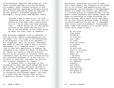of heterosexual idealism" and sought out "the queer outsider methods of William Burroughs, for example, whose invented universe of sexmad, body-snatcher espionage archetypes provided the ironic myth-making model we required."<sup>34</sup> He then quoted a significant passage from Burroughs's cut-up novel *Nova Express* (1964):

> "We need a peg to hang it on," he said. "Something really ugly like virus. Not for nothing do they come from a land without mirrors." So he takes over this newsmagazine.... And he breaks out all the ugliest pictures in the image bank and puts it out on the subliminal so one crisis piles up after the other right on schedule.<sup>35</sup>

When Burroughs happened to be in Vancouver in 1974 during Mr. Peanut's performance-art run for mayor, with the slogan "P for Performance, E for Elegance, A for Art, N for Nonsense, U for Uniqueness, and T for Talent," Burroughs was asked to lend his support and to give his endorsement at a "campaign event": "I would like to take this opportunity to endorse the candidacy of Mr. Peanut for Mayor of Vancouver. Mr. Peanut is running on the art platform, and art is the creation of illusion. Since the inexorable logic of reality has created nothing but insolvable problems, it is now time for illusion to take over. And there can only be one illogical candidate: Mr. Peanut."36

In January 1965, in the midst of the collaborative work that would become *The Third Mind* (1978), Burroughs and Gysin returned to New York after ten years abroad. The capital of American media appeared to them as a citadel of corruption with enormous appeal. One night at a party they met the poet John Giorno, a generation younger. Giorno felt an instant

and electric connection with both of them. Their ideas added a new framework to the heady mix of his friends' pop appropriations and performances, joining Johnson's Correspondance school as a model for Giorno's own ambitions to circulate poetry in unexpected ways via new media. Giorno and Gysin soon became lovers and began collaborating on sound recordings and audio collages. While apart Giorno sent Gysin cut-up love letters, growing bolder in finding an explicit poetics for gay sex. In September 1965, Giorno wrote his breakout "Pornographic Poem," made from excerpts of a "found" erotic story, which reads in part:

> At one point they stood around me in a circle and I had to crawl from one crotch to another sucking on each cock until it was hard. When I got all seven up I shivered looking up at those erect pricks all different lengths and widths and knowing that each one was going up my ass hole.<sup>37</sup>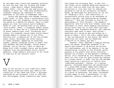At the same time, Giorno was becoming frustrated with the fact that his friends and former lovers — Andy Warhol, Robert Rauschenberg, Jasper Johns — did not use any explicitly gay imagery in their art. They were professionally closeted, keeping any reference to their queerness at the level of submerged code.<sup>38</sup>

Giorno and Burroughs also became increasingly close. In 1968, after a conversation with Burroughs over the telephone, Giorno envisioned the phone as a medium for poetry, able to reach people all over the country and of different walks of life. He started work on his famous "Dial-a-Poem" (1968), a telephone number anyone could call to hear one of a rotating selection of poets reading their work. Furthering this vision, his nonprofit record label Giorno Poetry Systems began to release LPs in the 1970s, starting with a compilation of the Dial-a-Poem audio tracks. Burroughs was often central to these releases, appearing on anthology albums, reading alongside Giorno or poets like John Ashbery and Anne Waldman. Giorno Poetry Systems' *You're the Guy I Want to Share My Money With* (1981) brought Giorno and Burroughs together with the performance artist Laurie Anderson. Jimmy DeSana's portraits of all three of them are on the record's cover.

V Many of the artists in this tight-knit scene were asking questions about gay identity and visibility in the 1960s and 1970s, a dialogue catalyzed by the Stonewall riots in 1969 and the "Christopher Street Liberation Day" march

that began the following year. In May 1971, the Fluxus artist Geoffrey Hendricks shaved all the hair from his body from the neck down, collecting it into jars that he labeled and gathered in one of his sculptural reliquary boxes. He described his motivation as "an act of 'shedding a skin,' and consciously or unconsciously giving form to my awareness of being a gay man, and confronting my changed identity."39 This was followed in June by the performance of "Flux Divorce," the symbolic separation from his wife Bici Forbes (later Nye Ffarrabas) on their tenth wedding anniversary, during which they cut in half their marriage documents, bed, household objects, and, wearing overcoats sewn back to back, were pulled — Hendricks by a group of men and Forbes by a group of women — until the coats ripped apart. It was the beginning of new social and sexual identities for each, and for Hendricks a rebirth as an openly gay man. $40$ 

However, there remained a nagging feeling about the beard. Hendricks wondered if he should have shaved it off during the private 1971 performance, and if by keeping it he was unconsciously clinging to the straight world, passing in his public face while invisibly, beneath his clothes, he had marked a transformation. Still bothered by 1975 Hendricks talked about all this with his good friend Ray Johnson on a street corner in SoHo, and the two decided there should be a petition to resolve this "unfinished business." Johnson, in a typical gesture, forwarded Hendricks the shaved beard of a young RISD student named Scott Mednick, a seemingly random piece of mail art that Johnson used to connect Hendricks and Mednick. In a flurry of postcards, the newly introduced friends began to plot a performance. In the meantime, Johnson assembled a petition: "WE,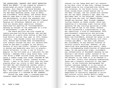THE UNDERSIGNED, REQUEST THAT GEOFF HENDRICKS SHAVE HIS BEARD." It was signed by Johnson's established art-world friends including Arakawa, Suzi Gablik, and David Bourdon, as well as younger gay figures who would populate the New Wave downtown scene, such as Robin Lee Crutchfield, David Ebony, and Duncan Smith. Mednick came down to New York to assist with the performance, in which the audience took turns cutting off portions of Hendricks's beard. Hanging out afterward, Mednick got to talk with his heroes about semiotics; Johnson explained his spelling of "correspondance" because he thought of the exchanges as a kind of performance — a pas de deux.

The beard petition was also signed by twenty-one-year-old Brian Buczak, who had met Hendricks at a party after moving to New York from Detroit earlier that year in 1975. Almost instantly, they became lovers and collaborators. Buczak had already been corresponding with Johnson through the mail art network ever since he had been a student at the Detroit Society of Arts and Crafts. Johnson's letters to Buczak and Hendricks were full of playful, erotic allusions. In one, a can of Crisco popular in the S-M scene as a lubricant for fist fucking — emerges from a gray xerox haze, with "For Brian & Geoff" written along the bottom, below a rubber stamp that reads "COLLAGE BY RAY JOHNSON." In another letter, Johnson writes: "Brian, I went to the Anvil very late the other evening after our visits to Edit DeAk and the Twilight Bar and checked my leather jacket & got the number 123 and talked the man out of giving me the tabs so I could send one to you. Ray." The coat-check ticket is taped below, and again proclaims it a COLLAGE BY RAY JOHNSON.

Around the same time, a nineteen-year-old Canadian named Peter Schuyff connected with

Johnson via the Image Bank mail art network. On his first visit to New York, Johnson brought Schuyff along on his tried-and-true fetish bar itinerary. At the Ninth Circle, the steakhouse turned disco turned hustler bar in the West Village, the two talked with another man who was about Johnson's age. When the gentleman went to the bathroom, Johnson asked, "Do you know who that is? Edward Albee!" Schuyff was dazzled. Many friends remember joining Johnson on these rounds, which was something of a Saturday night routine after spending the day visiting galleries in SoHo. Having come of age in the 1940s, Johnson was now witnessing a transformation in gay bar subculture, a kind of renaissance. With post-Stonewall organization and activism, younger gay men, like artist and musician Robin Lee Crutchfield, entered the scene in the 1970s, blurring gender boundaries with their clothes and affect — the first time Johnson met Crutchfield, he was wearing clusters of colorful plastic earrings. However, as gay identities were becoming more public, there was a corresponding stabilization of behavioral codes. On one particular night, Crutchfield was refused entry at Mineshaft because he was wearing a red velour jacket instead of the requisite leather or denim. Johnson convinced the bouncer to let them in if he checked it at the door. Within this changing underground, there was a frenetic attention to "gay semiotics," as San Francisco photographer Hal Fischer jokingly dubbed it in his series of 1977, which diagrams the signifiers, accessories, and archetypal media representations of homosexual men.<sup>41</sup> This new generation's experience is succinctly captured in artist and cultural critic Duncan Smith's essay "Reflections on Rhetoric in Bars." Smith begins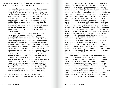by meditating on the slippages between sign and referent before explaining that:

> Gay people are implicated in this rhetorical play. They might call themselves "gay," but by so doing they fall prey to referential, denotative *straight*jacketing. Gay culture prides itself on its irony, its exuberant "lying," hence making the designation "gay" or "homosexual" a possible lie, a rhetorical play, an ironic figure. To make homosexuality into a referent, as does "gay liberation," seems false in terms of the idea of a "gay sensibility" with its ironic and aesthetic trademarks....

> Does gay liberation now mean that gays can no longer lie about their sexuality? Does it mean that language henceforth will entirely consist of referents adequate to their signs, intentions to their expressions, thoughts to their utterances? Does it mean the death of lie? No matter what happens, access to language is contingent on our capacity to lie. Inasmuch as gay liberation desires to have the courage to speak the truth, it will not be able to control those situations where a lie will preserve life and livelihood. Why should one be a referee of one's sexuality if there's the possibility that honesty could cause one's death? As long as there is oppression and adverse legislation, gays will be forced to lie. From the referent "gay" to the figure, lie or ironic posture of "straightness" is the oscillation a "gay" still endures. $42$

Smith models queerness as a multivalent, oppositional mode of *reading* within a fluid

constellation of signs, rather than something that could reside within the boundaries of a singular or static "representation," and it is no accident that it is the dynamics within the physical space of a gay bar occasioning these reflections. Queerness is thus a desire to work *against* fixed "identity" and instead seek the ambivalent freedoms of a contingent self. Smith's other widely associative writing which includes a complex deconstruction of Elvis Presley's image and anagrammed analysis of famous names — provides a parallel model for Johnson's own prototypically queer methodology. Similar to Johnson, Duncan was obsessed with celebrity mystique, creating a series of deconstructed image-text collages. One shows a glossy black-and-white glamour shot of Gloria Swanson with vertical rips down her nose and throat with "TEAR ME IN TWO" repeated on each cheek. Another uses a colorized production still of Elvis Presley on the set of a film, guitar in hand, behind a movie clapboard, with "PHOTO ME CRUEL" painted in gold over the scene. When Smith altered a copy of Crutchfield's "Ray Johnson paper doll" mail art, the figure was drawn into Vincent Trasov's Mr. Peanut costume, sliding one mail art persona into another.

The complete run of *FILE Megazine* spanning the years between 1972 and 1989 is a primer on these queer modes of reading. The layouts themselves are usually overlapped collages, with no standardized design, able to switch visual language completely from one article to the next, from one side of the page to the other. For the September 1973 edition, the logo's letters have been rearranged as *IFEL* for the "Special Paris Issue." Inside is a twopage spread of "The Letters of Ray Johnson."<sup>43</sup> Two letters, layered in Johnson's manner, are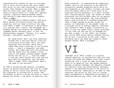reproduced with columns of text in the magazine's voice written along the outer edges. The letter on the right proclaims in scratching script "Ray Johnson's new book 'What a Dump' send for your free copy" above a crude caricature of Bette Davis in a large hat, mascara running, cigarette smoking between teeth, and issuing a comic-book-style word bubble: "What a dump!"

The opening of Edward Albee's 1962 play *Who's Afraid of Virginia Woolf?* has Martha stumbling into her home to deliver the camp line "What a dump," a reference to Bette Davis in a film she can't recall. She harangues her husband George into helping her remember which "goddamn Warner Brothers epic" it was. He halfheartedly suggests "*Chicago.* It's called *Chicago*." and Martha launches in:

> Oh, good grief! Don't you know anything? *Chicago* was a thirties musical starring little Miss Alice Faye. Don't you know anything? This picture, Bette Davis comes home from a hard day at the grocery store.... She's a housewife. She buys things. She comes home with the groceries and she walks into the modest living room of the modest cottage modest Joseph Cotten set her up in.... And she comes in and she looks around this room and she sets down her groceries. And she says, "What a dump!" She's discontent. What's the name of the picture? $44$

In 1966's blistering film version, Elizabeth Taylor as Martha enunciates the line as a camp parody of Davis's movie star persona, waving her cigarette in circles with a shrug. The bitchiness of Davis's actual delivery in 1949's *Beyond the Forest* — the movie in question, but

never resolved — is understated by comparison. Indeed, part of the pleasure is the parallel incongruity between glamorous Bette Davis as the housewife in the "modest cottage" and glamorous Elizabeth Taylor as a boozy wife of an associate history professor in a small college town. Playing against type, the causes of their discontent are self-evident when run up against their real-world personas. The line pilfered from a play written by a closeted playwright, "What a dump" became an acidic slogan for queers, an indictment of the gender roles of a straight world in postwar America. Entwined with Johnson's "What a dump" illustration in *FILE* is also his typed letter, which concludes "if you take the cha cha out of Duchamp you get what a dump." In the 1990s, the younger mail artist Mark Bloch recalls Johnson calling him to tell a variation on the joke: "What did Bette Davis say when she looked at *Étant donnés*? Answer: What a Duchamp!"45

WILL "Duchamp" plus "What a dump" is a typical

Johnson equation, an associative free play that carries his words and images along their transformations with a touch of camp irreverence. There is no question that the gender-bending persona of Marcel Duchamp, who famously created the feminine alter ego Rrose Sélavy, presages Johnson's own deconstructions of the Artist as elusive celebrity. Importantly, he adds to that construct the artist *as fan*, with an iconography encompassing a comprehensive pantheon of twentieth-century gay icons, from the immortal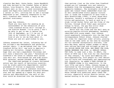classics Mae West, Greta Garbo, Jayne Mansfield, and Judy Garland to the fresher faces of Bette Midler, Liza Minnelli, Cher, and Sharon Stone. Johnson went so far as to send reinvented camp queen and Pepsi-Cola executive Joan Crawford a letter in 1971, inviting her to see a collage dedicated to her. Famously responsive to fan mail, Crawford sent Johnson a reply on her personal stationery:

Dear Ray Johnson,

Thank you very much for sending me an announcement of the exhibition of your "Joan Crawford Dollar Bill" collage at the Aldrich Museum. I'm so sorry I won't be able to get to see it before the 19th of September, as I'll be out of town on my travels for Pepsi, but it was kind of you to let me know about it. Bless you and all good wishes to you.

Johnson answered her letter, informing her of the collage's new whereabouts and garnering another reply: "I am delighted that the 'Joan Crawford Dollar Bill' was sold to America's Leading Art Collector, Joseph Hirshhorn. I hope that you had a magnificent Christmas and will have a beautiful new year." Facsimiles of Crawford's two notes to Johnson were cycled into mail art, distributed far and wide within NYCS networks, marked COLLAGE BY RAY JOHNSON.

The idealized package of classic Hollywood actors was the result of meticulous construction by studio publicity departments; careful placement of stories in magazines invented an altogether new kind of audience relation: movie fandom. The unbridgeable distance between star and fan opened up a space for both projection and identification; the self of the star could be dissolved into the characters

they portray (just as the roles Joan Crawford played are all subsumed into and indistinguishable from the encompassing image of the composite Goddess). The worshipful attitude of queer men toward these commodified stars was so well established within popular culture that it forms the foundation of Gore Vidal's *Myra Breckinridge* (1968), a novel whose main character, herself a synthesis of Hollywood trivia and quotation, is hard at work on a study titled *Parker Tyler and the Films of the Forties*, through which Vidal pays sarcastic homage to Tyler, the gay film critic whom Breckinridge quotes like scripture.

Movie star fan clubs and fan mail were an existing popular-culture phenomenon, markedly identified with young women, that Johnson could seamlessly incorporate into the New York Correspondance School ethos. Johnson started fan clubs for important older artists, placing them on the same level as the ones he launched for his favored idiosyncratic starlets, like Anna May Wong, making rubber stamps to designate various mailings and collages as part of the ODILON REDON FAN CLUB, MAX ERNST FAN CLUB, SANDRA BERNHARD FAN CLUB, or SHELLEY DUVALL FAN CLUB, to name just a few. In effect, the whole of NYCS was a fan club for the character of "Ray Johnson," by turns self-effacing and self-aggrandizing, with people all over emulating his style and iconography and impersonating him. Eventually, he added a FAKE COLLAGE BY RAY JOHNSON stamp to his repertoire. In the late 1970s and early 1980s, Johnson became so fascinated by the critiques of authorship and representation formulated by what would become the Pictures Generation that he often peppered Peter Schuyff with questions about these new artists, especially artist Sherrie Levine, who wanted nothing to do with Johnson. Despite,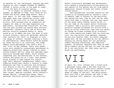or because of, her resistance, Johnson was soon sending out mail stamped COLLAGE BY SHERRIE LEVINE, a return volley in the game of undermining the myth of singular genius.

It is useful to contrast Johnson's star images, as emblems of fame, with those of his friend and mirror image Andy Warhol. Born a year apart, in 1927 and 1928, respectively, the queer sons from industrial cities, each arrived in New York City in 1949 to become artists. Both pursued work as commercial designers for many of the same magazines and publishers, including New Directions. By 1956, the two were friends and shared many cultural obsessions; Johnson's early use of Elvis and Marilyn actually predates Warhol's, which would go on to define the era. The work of both artists evinces a mania for personae, gestures that evacuate the "self" to displace it with the image of another, thereby creating a chain of identification, where Warhol could be played by Candy Darling in an interview, and Jimmy DeSana could photograph John Dowd's butt in the "role" of Ray Johnson. Their twin obsessions with celebrity increasingly manifested in opposite directions: Warhol created an orbit around himself and his image was amplified exponentially through mass media, while Johnson dispersed into the fluctuations of the network, letters delivered one at a time, then passed along altered in ways beyond his control. Even their physical headquarters reflect their differing directions: Warhol's factory in Lower Manhattan was host to partiers and collaborators flowing in and out, while Johnson rarely let anyone visit his Long Island home. Through the 1970s and 1980s, Warhol's canvases became ever larger, emptier surfaces, while Johnson's became smaller, increasingly dense. Their personas similarly contrast hypervisibility,

Warhol consciously bewigged and omnipresent, with Johnson's progressively willed obscurity and removal of his person and art from public appearance, beyond friends and highly orchestrated events.

This paradoxical attitude toward his own celebrity is encapsulated by Johnson's visit to General Idea in Toronto in the mid-1970s, the second and last time he left the US. What could have been a journey into the very heart of the scene where Johnson would relish in his own fame as the almost mythic forerunner of General Idea's artistic and intellectual pursuits instead witnessed his arrival with a strip of silver electrical tape over his mouth, as though he'd been trussed up by criminals, and a note explaining simply that he could not talk. For the entire long weekend, whenever he was with General Idea, his mouth remained taped shut. He was excluded by his own efforts, hanging out during meals but not partaking, simply watching everything, and remaining present. AA Bronson imagined that when he went off by himself during the day, he took the tape off to eat and drink, but they never saw him break the performance.

 $V<sup>1</sup>$ 

On April 20, 1976, Johnson had a friend hold a gooseneck table lamp a few feet from the left side of Warhol's face while Johnson traced the slightly larger-than-life shadow onto a sheet of paper on the wall. The whole procedure only took a few minutes and once it was over everyone left. However, the process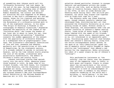of assembling what Johnson would call his "Silhouette University" had just begun. By the end of the year, he had completed almost a hundred drawings, including ones of Edward Albee, William Burroughs, Peter Hujar, and Robert Rosenblum, the curator and eminent art historian who also happened to be deeply involved in New York's contemporary art and gay scenes, known for his rigorous and perverse accounts of unusual subject matter, including the florescence of a silhouette-related myth in art of the eighteenth century. In his essay "The Origin of Painting: A Problem in the Iconography of Romantic Classicism," Rosenblum examined the popularity of the legend of the "Corinthian maid," who traces the shadow of her lover who is about to leave for war, thus inventing drawing and painting.46 Rosenblum connects the sudden appearance of the subject with the popularity of silhouette drawings as a widespread form of prephotographic likeness. The silhouette's sentimental associations of love and loss, presence and absence, perfectly suit the sensibilities of this mode of Romanticism. By the nineteenth century, it's already reduced to parody in cartoons by Daumier, and by the time Johnson starts playing the role of the maiden, silhouettes were quixotically anachronistic, the domain of children's crafts and country fairs.

Johnson continued tracing them sporadically into the early 1990s, amassing almost three hundred in total. He made them of his closest friends, like Ruth Asawa, his classmate at Black Mountain, and the characters of his expanded art world, including Michael Morris, Robin Lee Crutchfield, and Marcia Tucker, who curated Johnson's *New York Correspondence School Exhibition* at the Whitney Museum of American Art in 1970. His idiosyncratic

selection showed particular interest in younger feminist and performance artists who sought to fuse art and life, such as Martha Wilson, founder of Franklin Furnace, where he performed in the 1970s, as well as Linda Montano and Tehching Hsieh during their 1983 *Art/Life* performance, for which they stayed tied together with an eight-foot rope for a year.

The subjects never saw these drawings again, though Johnson carefully labeled and catalogued them, distributing mail art that announced the Silhouette University as an evergrowing column of names. Without access to these drawings, the announcements seem like yet another iteration of Johnson's famous seating charts, loose grids of bunny heads, or simply boxes labeled with the names of his friends, collaborators, movie stars, obscure poets, and so on, all intermixed in an impossible gathering. Trailblazing queer theorist José Esteban Muñoz saw Johnson's seating charts, along with the entire Correspondance school method, as the germ of an "anti-identitarian" queer art, one of magnetic social orbits founded on impossibility and "nothingness" that offered a new horizon for the imagination. Muñoz articulates his ideal of a queer utopia by way of Johnson's "nothings":

> This performative insistence on "the nothing" (the not there) over the presentness of the happening (what is there) is both queer and utopian. Utopia is always about the not-quite-here or the notion that something is missing. Queer cultural production is both an acknowledgment of the lack that is endemic to any heteronormative rendering of the world and a building, a "world making," in the face of that lack. A nothing is a utopian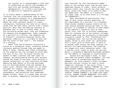act insofar as it acknowledges a lack that is normalized as reality and attempts to work with and through nothingness and ephemerality: it is both a critique and an additive or reparative gesture.<sup>47</sup>

It is within Muñoz's understanding of the "nothing" that the silhouettes take on their most interesting valence. As a representation of a particular individual, each silhouette offers the least possible amount of visual information, evacuating the face of all detail aside from the most basic outline from a single position. More than the fleeting instance of presence that it took to create them, as in the Corinthian maiden myth, they are frameworks for absence and disappearance. Taken together as a portrait of a milieu, the complete set of Johnson's silhouette drawings shifts the emotional inflection to a critique of what was and the force of what wasn't — the essence of a *nothing*.

Apart from the Silhouette University's status as a conceptual album, convening another visionary meeting through time and space in Muñoz's terms, Johnson used these silhouettes as the armature for the collages he would make the rest of his life. He would retrace the profile to make a pattern and then layer on imagery, building precise motifs that mutated around the forms of the face, often burying it beyond recognition, so that resulting collages depicting Andy Warhol or William Burroughs are not distinguishable from one another by sight alone. Johnson kept almost all of these collages for himself, returning to them year after year for decades, adding amendments, adjustments, and accretions that sometimes became reliefs. There is a sense they are forever in process, temporarily arrested rather

than resolved. He also fastidiously added dates to the surface every time he went back sometimes dozens of times — which actually obscure rather than clarify how they came into being, given that there is no sense of what was added when. The effect is a rejection of linear time, as he once wrote in a collage: "NO CHRONOLOGY."

When considered as portraiture, this body of work raises certain questions. If one requirement of a portrait is a likeness, these hardly resemble anyone clearly by the time Johnson finishes encrusting them. If the portrait is intended to testify to some aspect of the subject's essential self or even social role, that too is actively undermined. Take for instance one of the several collages Johnson made from the silhouette of Burroughs, originally traced in 1976. Transferred onto a cardboard disk, the outline has become a shadow, filled in with black ink, perforated with a faint grid of white dots. A thick X is marked right across the nose, pushing its details into dark background. Two wiggling sun shapes with short tentacles hover, like a cartoon virus, ready to enter the eye and mouth, a frequently employed Burroughs metaphor for the effects of language on consciousness.

Pasted onto Burroughs's head, in ways that make the profile almost disappear, are over twenty years of accumulated materials and ephemera, cut from Johnson's other collages: delicate cartoon violets he used in stark "memorial" drawings of the early 1970s; a block-lettered text reading "JANUARY 26, 1969, DEAR SHIRLEY TEMPLE, GELDZAHLER"; a cartoon bunny head with alternating red and green eyes labeled "JOSEPH CORNELL"; an index card typewritten "AUBREY VINCENT BEARDSLEY 1872–1898," with "SHIRLEY TEMPLE'S BLOOD" repeated twice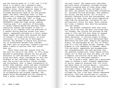and the varying dates of "1.3.92" and "1.9.92" below it in pencil and a pasted-on news clipping about Shirley Temple's real-life daughter Susan, whose newsprint image is completely obliterated by a small, heavily collaged abstraction made of cut and painted paper. The whole "Burroughs disk" is then pasted onto a hexagonal diamond-shaped board. The lower left side says "RAY" in large block letters, superimposed over a BUDDHETTE UNIVERSITY stamp and loopy script reading "evening gown." As a portrait of Burroughs, it hardly coheres beyond the maniacal formal resolution Johnson has brought to bear in putting it all together with the precision of a jeweler fitting precious stones into their facets, repeatedly polished to a twilit gleam. These images and texts have entered the head of Johnson's collage from without, as alien intrusions, as if from one of Burroughs's stories. But perhaps in waging this pictorial war on coreference between each signifier and their sets of relations, Johnson's portrait offers a means of getting from that inside back out.

Peter Hujar knew Ray Johnson from the New York art world of the 1960s. In 1975, Hujar decided to photograph Johnson for his project Portraits in Life and Death (1976).<sup>48</sup> In assembling this book, Hujar considered not only the strength of the individual images, but also what the artists and writers inside signified, and furthermore, what it meant conceptually to gather them together. Hujar had been interested in the dynamics and representations of groups (what he called "tribes") since the 1960s and would go on to make a number of portraits of collaborators and friends together. The people Hujar photographed did not necessarily form a group, outside of the framework of

the book itself. The twenty-nine individual portraits Hujar ultimately included situates Johnson alongside many of those whose names and images Johnson had long included in his own work, and several he would make silhouettes of, including William Burroughs, John Ashbery, Ann Wilson, and May Wilson. All of Hujar's subjects radiated allure and outsiderness, the integrity of their work and vision separating them from the mainstream. Including his own self-portrait within his book, Hujar created his tribe, a bohemia that drew the periphery into the center.

The boldest conceptual move that Hujar made, which was also the most criticized upon its release, was joining the pictures he had taken in 1974 and 1975 with those of corpses in Palermo catacombs photographed in 1963. These skeletons, in various stages of decay, are still clothed, often with desiccated flesh describing the bare bone. Despite the apparent binary, the photographs do not fall on either side of a life and death divide. Instead, they propose to live somewhere in between, where life and death, appearance and disappearance, are interpenetrated. The book declares that the downtown celebrities, those famous selves, almost all of whom are also now dead, are just a temporal and cultural shift away from the anonymity of the cherished cadavers.

As in Hujar's book, death was a persistent theme in Johnson's work. Frequent appearances of skulls, memorial drawings that list birth and death dates of various figures — including Yukio Mishima, Diane Arbus, Judy Garland, and Frank O'Hara — and news clippings describing violent deaths hidden within various collages are just a few ways Johnson addressed mortality. This was concretized in a series of thirteen pages Johnson mailed individually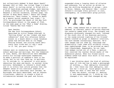but collectively dubbed "A Book About Death" between 1963 to 1965. One titled "Page 5 A Book About Death" in curling script is filled with a grid of hand-drawn postage stamps, each bearing a wonky configuration of the name "Andy Warhol." Beneath a cartoon ouroboros, another page, now called "A Boop About Death," bears the creepy declaration: "Mary Crehan, 4, choked to death on a peanut butter sandwich last night." In 1973, he proclaimed the death of the New York Correspondance School in the pages of *FILE*, on the same page as the "What a dump" drawing, titled "Deaths New York Times":

### Dear Deaths:

The New York Correspondance School, described by critic Thomas Albright in "Rolling Stone" as the "oldest and most influential" died this afternoon before sunset on a beach where a large Canadian goose had settled down on its Happy Hunting Ground, was sitting there obviously very tired and ill and I said to it "Oh, you poor thing."<sup>49</sup>

Johnson went on conducting the Correspondance school meetings and mailings. But the thematics of loss, death, and destruction were embedded within his collage techniques themselves. To make a portrait of someone's face is one thing, but to cut that face up, to mutilate it, to occlude it, to splatter it with paint, obscuring the eyes and mouth, is another thing entirely. Defacement is Johnson's chief mode and it is within that active process that the deepest sense of his continual negation of identity and the individual self resides. As Burroughs and Gysin described, and as Johnson illustrates, identity is always a kind of collaboration between the past and future,

suspended along a looping chain of allusion and reference. For an artist so driven to map the shifting boundaries of groups — akin to Hujar, DeSana, and General Idea — within Johnson's collages every portrait is also, inescapably, an irresolvable group picture.

### VIII

In 1984, Jimmy DeSana had to have his spleen removed, an indirect result of having acquired the recently named AIDS virus. The surgery and diagnosis profoundly changed his work. Instead of the stark chic of his downtown portraits, or the candy-colored lighting of his friends' bodies treated as props in domestic interiors, the work became increasingly abstract. He'd take images and cut them up, rearrange and dramatically light them with artificial colors, then rephotograph them, to be printed as small lush Cibachromes. Repeatedly, he cut lashlike wedges curled out of a face, a gesture that recalled the leather fetish masks of the *Submission* photos*.* When his friend Laurie Simmons asked him about this shift in his work, he explained:

> I was thinking about the kind of nothingness of life and how to make a photograph of nothing.... That ambiguity interested me — that there was that ambiguity, and how far I could go. Could people actually figure out what it was? How far could I take the object, collage it, destroy it and rephotograph it. I think my life changed a lot, and that changed my way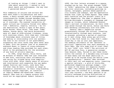of looking at things. I didn't want to joke about sexuality. I wanted to talk about death and nothingness, the way that I perceived death.<sup>50</sup>

This community of artists and writers who were each other's collaborators and audiences, a finely wrought web of intergenerational interconnection formed through decades-long experiment into ways of being, was decimated as if overnight. The nuanced instability of queer culture was violently forced into definition — medically, legally, socially — by its own destruction. Within a span of five years, Brian Buczak, Peter Hujar, John Dowd, Jimmy DeSana, Duncan Smith, and David Wojnarowicz were all dead of AIDS-related illnesses, along with countless others. With them went lifetimes of knowledge about alternate ways of living and making in relationship with one another; the loss to our culture is not quantifiable, surpassing the total works they were never able to make, with the greater loss of an essential audience fluent in layers of cross-reference and close reading they provided for each other, which is the prerequisite for the existence of any form of artistic meaning.

In 1986, Jorge Zontal, Felix Partz, and AA Bronson of General Idea had just relocated to New York, continuing their collaboration, and caring for friends dying from complications with AIDS. After twenty years of artistic and intellectual work examining the way media images function and travel, once more they did what they do best: introduce an image as diagnostic intervention. In their long-standing struggle against copyright, an iteration of legally defined and monetized "identity," General Idea took on a famous artwork that could not be copyrighted: Robert Indiana's

*LOVE*, the four letters arranged in a square stacked two by two. The group changed "LOVE" to "AIDS," generating the image in many forms and color relations, including paintings on canvas, wallpaper, posters wheat-pasted on city streets and subways, and the Spectacolor boards that light up Times Square. They named each iteration and the project itself as a whole *Imagevirus*. The name is adapted from William Burroughs's concepts of language and images as viruses, which influenced General Idea's earliest collaborations. As their AIDS logo moved through the world, Zontal and Partz were becoming increasingly sick with AIDS.

General Idea's *Imagevirus* cycled promiscuously through the culture, traveling internationally through many contexts, just as planned, provoking a myriad of reactions as it went along. Many young gay activists back in New York hated it; they didn't understand why it was so cool and impersonal, the seeming antithesis of the "personal is political" imperatives that were necessary to their fight. Was this some kind of cruel joke? To turn "LOVE" into "AIDS"? The activists of ACT UP and Gran Fury, a generation younger than General Idea, failed to see these works within the context of a decades-long critique of mass media and the fixed identities it tosses up to be sorted along the battle lines of representation.<sup>51</sup> General Idea returned to their mail art and magazine roots, inserting a special multiple — a grid of thirty-five perforated *Imagevirus* postage stamps — into an issue of the Swiss art magazine *Parkett* in 1988.<sup>52</sup> Ray Johnson pasted one of these stamps onto the surface of a collage, embedded into inky torrents — the final gesture in an artistic exchange blurring distinctions of authorship and self that spanned a quarter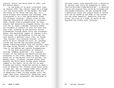century. Zontal and Partz died in 1994, just five months apart.

In the midst of so much irrational loss, in January 1995, Ray Johnson leapt off a bridge into the frigid water of Sag Harbor. His body was found on the shore the next day. Artworld friends were shocked and confused. Some interpreted it as a last performance piece, the ultimate "nothing." Others close to him remained shattered by something so inconceivable, though clearly premeditated. By then, Johnson had essentially stopped coming into the city for at least a decade, refusing almost all attempts to exhibit or sell his work over that time, although he did maintain active friendships through phone calls and correspondence. One persistent aspect of Johnson's art, interviews, and performances is the way the work denies a personal inner life, as though "Ray Johnson" only existed outside, in the world he built through his work. Or, perhaps, inside and outside had switched places, had become indistinguishable from one another, were the same thing. Without a doubt, that world so long in the making was rapidly disappearing.

On the first anniversary of Johnson's suicide, Geoffrey Hendricks — his longtime friend, of the shaving and beard-cutting performances in the 1970s, among so many others drove out to Sag Harbor with his partner, Sur Rodney (Sur), to gather rounded stones from beneath the North Haven Bridge where Johnson jumped to his death. As he had for so many friends and lovers, Hendricks wanted to make a kind of memorial for Johnson using those rocks in some way. The car sagged under their weight on the drive back into Manhattan. They sat in Hendricks's West Village garden until the right idea arose. Eventually, Hendricks used them to make two sculptures. One consisted of

thirteen rocks, each engraved with a selection of letters that could be assembled to spell "NO/T/H/IN/G/RAY/J/SAG/HA/R/B/OR" — a physical cut-up and anagram that could be arranged and rearranged endlessly. He set alongside them a mechanical bunny the couple found in Venice that can be wound up and made to hop around. For the other memorial, Hendricks took one stone, the size of a head, on which he had engraved the single word "nothing."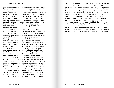### Acknowledgments

The recollections and insights of many people flow through this essay, in ways that would be impossible to footnote with any precision. Much of the information comes directly from interviews I conducted over the phone, Zoom, or email in late 2020 and early 2021 with AA Bronson, Robin Lee Crutchfield, David Ebony, Scott Mednick, Michael Morris, Peter Schuyff, Laurie Simmons, and Sur Rodney (Sur). I am grateful that they trusted me with their stories and hope I've done justice to the histories they carry.

First and foremost, my gratitude goes to Frances Beatty, Alexander Adler, and the phenomenal Maria Ilario of The Ray Johnson Estate, who opened untold doors and several hundred drawers, envelopes and boxes (several times), to make this exhibition possible in its fullest form. Ray Johnson is lucky to have them ensuring his legacy. For help gathering and lending the materials that make up this project, I would like to thank Stephen Koch, Jeffrey Fraenkel, Ola Dlugosz, and the Peter Hujar Archive; Alissa Friedman, Danielle Bartholomew, Salon 94, and the Jimmy DeSana Trust; Indra Tamang, Allen Frame, and the Estate of Charles Henri Ford; Anneliis Beadnell, P.P.O.W., and the Estate of David Wojnarowicz; the Geoffrey Hendricks Estate; Elizabeth Dee, Anastasia Clarke, and the John Giorno Foundation; Barbara Pollitt, Pavel Zoubok, and the Sari Dienes Foundation; Yoko Ono and Connor Monahan; Mark Bloch; and Adam Welch and the National Gallery of Canada.

Many artists, scholars, and curators provided information essential to my research and writing, including Vince Aletti, Betsy Baker, Fern Bayer, Nayland Blake, Alexandra

Cunningham Cameron, Luis Camnitzer, Candystore, Cynthia Carr, Holland Cotter, Ed De Luca, Raymond Foye, Coco Gordon, Jay Gorney, Johanna Gosse, Nancy Grossman, Anastasia James, Randy Kennedy, Carol Lees, Nicholas Martin, Marc Mayer, Duane Michals, Helen Molesworth, Laila Pedro, Lee Relvas, Ugo Rondinone, Raphael Rubinstein, Kenneth E. Silver, William J. Simmons, Joel Smith, Vincent Trasov, Robert Warner, and Martha Wilson — thank you all.

For their unwavering belief in my work, and for the invitation and support to realize this project, I'd like to thank David Zwirner as well as the exhibition dream team of Josh Brown, Robert Goff, David Leiber, Ryan Markgraf, Jaime Schwartz, Aly Weiner, and Lucas Zwirner.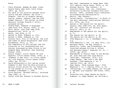Notes

- 1 Yukio Mishima, *Madame de Sade*, trans. Donald Keene (New York: Grove Press, 1967), pp. 30–31.
- 2 For more on the relation between Alvin Lustig and Ray Johnson, see Julie J. Thomson, "The Art of Graphic Design: Lustig, Albers, Johnson, and the 1945 Summer Session," *The Journal of Black Mountain College Studies* 6 (2014), accessed online.
- 3 Graham Robb, *Rimbaud: A Biography* (New York: W.W. Norton, 2000), p. xiv.
- 4 Patti Smith, *Just Kids* (New York: HarperCollins, 2010), p. 27.
- 5 Smith, *Just Kids*, p. 27*.*
- 6 Quoted in Robb, *Rimbaud*, p. xiii.
- 7 Quoted in Robb, *Rimbaud*, p. 178.
- 8 Cynthia Carr, *Fire in the Belly: The Life and Times of David Wojnarowicz* (New York: Bloomsbury, 2012), p. 133.
- 9 The complexity of this project and the histories of its interpretations are further discussed by Anna Vitale in *Our Rimbaud Mask* (Brooklyn: Ugly Duckling Presse, 2018).
- 10 Dennis Cooper, *Little Caesar #5* (Los Angeles: Little Caesar Press, 1978), p. 1.
- 11 "Rimbaud in New York," in *Little Caesar #11* (Los Angeles: Little Caesar Press, 1980), pp. 157–167.
- 12 David Wojnarowicz's full series *Arthur Rimbaud in New York* was first printed as gelatin silver prints for his exhibition *In the Garden* at P.P.O.W., New York, November 3–December 1, 1990.
- 13 Alvin Balkind, "Michael Morris," *Artforum* (May 1968), p. 70.
- 14 Letter from Ray Johnson to Michael Morris,

May 1968, reproduced in *Image Bank 1969– 1977* (Berlin: Hatje Cantz, 2019), p. 96.

- 15 Michael Morris, "Ray Johnson," in *Concrete Poetry*. Exh. cat. (Vancouver: University of British Columbia Fine Arts Gallery, 1969), accessed http://vancouverartinthesixties.com/archive/12.
- 16 Morris, "Ray Johnson."
- 17 Istvan Kantor, "Introduction," in *Brain in the Mail* (Montreal: Publications Vehicule Art, 1979), pp. 9–10.
- 18 Ouoted in *The Search for the Spirit: General Idea 1968–1975*, ed. Fern Bayer. Exh. cat. (Toronto: Art Gallery of Ontario, 1997), p. 36.
- 19 Reproduced in *The Search for the Spirit*, p. 51.
- 20 *The Search for the Spirit*, p. 90.
- 21 *The Search for the Spirit*, p. 80.
- 22 *FILE Megazine* 1, no. 4 (December 1972), n.p.
- 23 *FILE Megazine* 2, nos. 1–2 (May 1973), n.p.
- 24 Benjamin Kahan, "On Ray Johnson's Sexuality, Loves, and Friendships: An Interview between William S. Wilson and Benjamin Kahan," *Angelaki* 23, no. 1 (2018), pp. 86–87.
- 25 Reproduced in *Fanzini Goes to the Movies*, ed. John Dowd and John Jack Baylin (self-pub., Vancouver, 1974), n.p.
- 26 Jimmy DeSana, "New York's Ten Best Dressed," *FILE Megazine* 3, no. 2 (Spring 1976), pp. 56–57.
- 27 Dawn Eagle, "Nine Dressed Ones," *FILE Megazine* 3, no. 2 (Spring 1976), p. 55.
- 28 "Chronology," in *Jimmy DeSana*, ed. William S. Bartman (Los Angeles: ART Press, 1990), p. 43.
- 29 Interview with Jimmy DeSana by Laurie Simmons, in *Jimmy DeSana*, ed. William S.